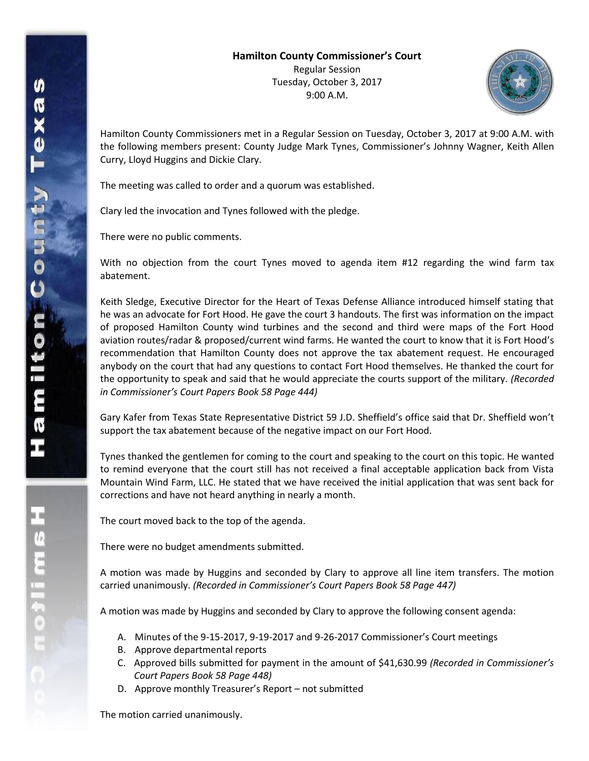

Hamilton County Commissioners met in a Regular Session on Tuesday, October 3, 2017 at 9:00 A.M. with the following members present: County Judge Mark Tynes, Commissioner's Johnny Wagner, Keith Allen Curry, Lloyd Huggins and Dickie Clary.

The meeting was called to order and a quorum was established.

Clary led the invocation and Tynes followed with the pledge.

There were no public comments.

With no objection from the court Tynes moved to agenda item #12 regarding the wind farm tax abatement.

Keith Sledge, Executive Director for the Heart of Texas Defense Alliance introduced himself stating that he was an advocate for Fort Hood. He gave the court 3 handouts. The first was information on the impact of proposed Hamilton County wind turbines and the second and third were maps of the Fort Hood aviation routes/radar & proposed/current wind farms. He wanted the court to know that it is Fort Hood's recommendation that Hamilton County does not approve the tax abatement request. He encouraged anybody on the court that had any questions to contact Fort Hood themselves. He thanked the court for the opportunity to speak and said that he would appreciate the courts support of the military. *(Recorded in Commissioner's Court Papers Book 58 Page 444)*

Gary Kafer from Texas State Representative District 59 J.D. Sheffield's office said that Dr. Sheffield won't support the tax abatement because of the negative impact on our Fort Hood.

Tynes thanked the gentlemen for coming to the court and speaking to the court on this topic. He wanted to remind everyone that the court still has not received a final acceptable application back from Vista Mountain Wind Farm, LLC. He stated that we have received the initial application that was sent back for corrections and have not heard anything in nearly a month.

The court moved back to the top of the agenda.

There were no budget amendments submitted.

A motion was made by Huggins and seconded by Clary to approve all line item transfers. The motion carried unanimously. *(Recorded in Commissioner's Court Papers Book 58 Page 447)*

A motion was made by Huggins and seconded by Clary to approve the following consent agenda:

- A. Minutes of the 9-15-2017, 9-19-2017 and 9-26-2017 Commissioner's Court meetings
- B. Approve departmental reports
- C. Approved bills submitted for payment in the amount of \$41,630.99 *(Recorded in Commissioner's Court Papers Book 58 Page 448)*
- D. Approve monthly Treasurer's Report not submitted

The motion carried unanimously.

エムミニャウェ